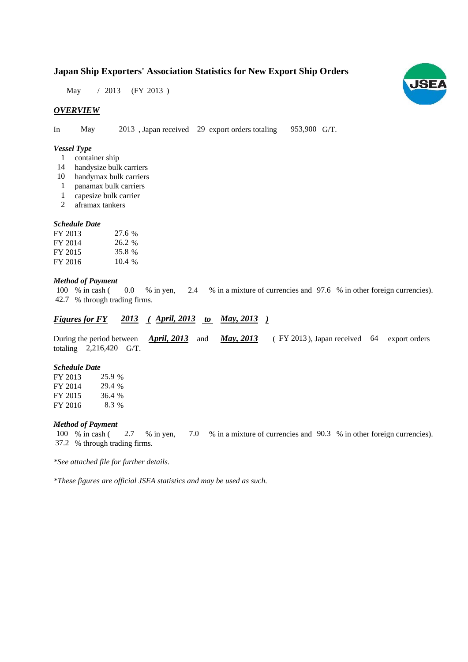# **Japan Ship Exporters' Association Statistics for New Export Ship Orders**

May / 2013 (FY 2013)

## *OVERVIEW*

In May 2013, Japan received 29 export orders totaling 953,900 G/T.

# *Vessel Type*

- container ship 1
- 14 handysize bulk carriers
- 10 handymax bulk carriers
- panamax bulk carriers 1
- capesize bulk carrier 1
- aframax tankers 2

#### *Schedule Date*

| FY 2013 | 27.6 % |
|---------|--------|
| FY 2014 | 26.2 % |
| FY 2015 | 35.8 % |
| FY 2016 | 10.4%  |

#### *Method of Payment*

% in cash ( $\ 0.0$  % in yen,  $2.4$  % in a mixture of currencies and 97.6 % in other foreign currencies). % through trading firms. 42.7 0.0 % in yen, 100 % in cash (

# *Figures for FY* 2013 (*April, 2013 to May, 2013*)

During the period between **April, 2013** and **May, 2013** (FY 2013), Japan received 64 export orders totaling  $2,216,420$  G/T. *April, 2013* and *May, 2013* 

#### *Schedule Date*

FY 2013 FY 2014 FY 2015 FY 2016 8.3 % 25.9 % 29.4 % 36.4 %

## *Method of Payment*

100 % in cash (  $2.7$  % in yen,  $7.0$  % in a mixture of currencies and  $90.3$  % in other foreign currencies). % through trading firms. 37.2

*\*See attached file for further details.*

*\*These figures are official JSEA statistics and may be used as such.*

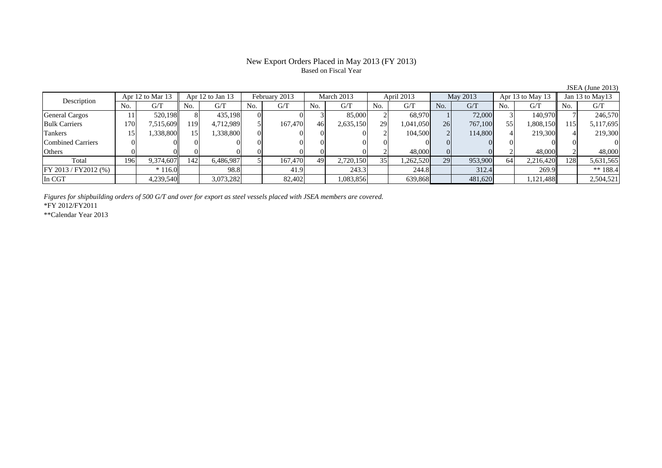# New Export Orders Placed in May 2013 (FY 2013) Based on Fiscal Year

| Apr 12 to Mar 13<br>Description |     | Apr 12 to Jan 13 |      | February 2013 |     | March 2013 |     | April 2013 |     | May 2013  |     | Apr 13 to May 13 |     | Jan 13 to May 13 |     |           |
|---------------------------------|-----|------------------|------|---------------|-----|------------|-----|------------|-----|-----------|-----|------------------|-----|------------------|-----|-----------|
|                                 | No. | G/T              | No.  | G/T           | No. | G/T        | No. | G/T        | No. | G/T       | No. | G/T              | No. | G/T              | No. | G/T       |
| <b>General Cargos</b>           |     | 520.198ll        |      | 435.198       |     |            |     | 85,000     |     | 68.970    |     | 72,000           |     | 140.970          |     | 246,570   |
| <b>Bulk Carriers</b>            | 170 | 7,515,609        | 1191 | 4,712,989     |     | 167.470    | 46  | 2,635,150  | 29  | 1,041,050 | 26  | 767,100          | 55  | 1,808,150        | 115 | 5,117,695 |
| Tankers                         |     | 1,338,800        | 15.  | .338,800      |     |            |     |            |     | 104,500   |     | 114,800          |     | 219,300          |     | 219,300   |
| Combined Carriers               |     |                  |      |               |     |            |     |            |     |           |     |                  |     |                  |     |           |
| Others                          |     |                  |      |               |     |            |     |            |     | 48,000    |     |                  |     | 48,000           |     | 48,000    |
| Total                           | 196 | 9.374.607        | 142  | 6,486,987     |     | 167,470    | 49  | 2,720,150  | 35  | 1,262,520 | 29  | 953,900          | 64  | 2,216,420        | 128 | 5,631,565 |
| FY 2013 / FY2012 (%)            |     | $*116.0$         |      | 98.8          |     | 41.9       |     | 243.3      |     | 244.8     |     | 312.4            |     | 269.9            |     | ** 188.4  |
| In CGT                          |     | 4,239,540        |      | 3,073,282     |     | 82,402     |     | .083,856   |     | 639,868   |     | 481,620          |     | 1,121,488        |     | 2,504,521 |

*Figures for shipbuilding orders of 500 G/T and over for export as steel vessels placed with JSEA members are covered.*

\*FY 2012/FY2011

\*\*Calendar Year 2013

JSEA (June 2013)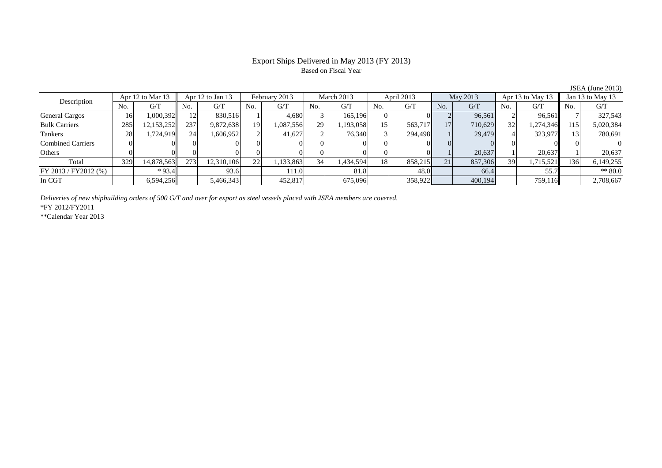## Export Ships Delivered in May 2013 (FY 2013) Based on Fiscal Year

No. G/T No. G/T No. G/T No. G/T No. G/T No. G/T No. G/T No. G/T $G/T$ General Cargos ( 16 1,000,392 12 830,516 1 4,680 3 165,196 0 0 2 96,561 2 96,561 7 327,543 Bulk Carriers 285 12,153,252 237 9,872,638 19 1,087,556 29 1,193,058 15 563,717 17 710,629 32 1,274,346 115 5,020,384 Tankers 28 1,724,919 24 1,606,952 2 41,627 2 76,340 3 294,498 1 29,479 4 323,977 13 780,691 Combined Carriers 0 0 0 0 0 0 0 0 0 0 0 0 0 0 0 0Others 0 0 0 0 0 0 0 0 0 0 1 20,637 1 20,637 1 20,637 Total 329 14,878,563 273 12,310,106 22 1,133,863 34 1,434,594 18 858,215 21 857,306 39 1,715,521 136 6,149,255 FY 2013 / FY2012 (%) \* 93.4 93.6 111.0 81.8 48.0 66.4 55.7 \* 80.0 In CGT | | 6,594,256|| | 5,466,343| | 452,817| | 675,096| | 358,922| | 400,194| | 759,116|| | 2,708,667 Description Apr 12 to Mar 13 Apr 12 to Jan 13 February 2013 March 2013<br>No. | G/T No. | G/T No. | G/T No. | G/T No. | G/T April 2013 May 2013 Apr 13 to May 13 Jan 13 to May 13

*Deliveries of new shipbuilding orders of 500 G/T and over for export as steel vessels placed with JSEA members are covered.*

\*FY 2012/FY2011

\*\*Calendar Year 2013

JSEA (June 2013)